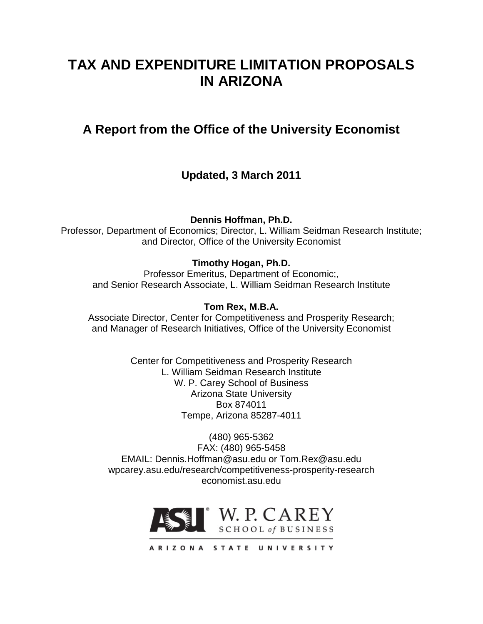# **TAX AND EXPENDITURE LIMITATION PROPOSALS IN ARIZONA**

# **A Report from the Office of the University Economist**

## **Updated, 3 March 2011**

**Dennis Hoffman, Ph.D.**

Professor, Department of Economics; Director, L. William Seidman Research Institute; and Director, Office of the University Economist

## **Timothy Hogan, Ph.D.**

Professor Emeritus, Department of Economic;, and Senior Research Associate, L. William Seidman Research Institute

## **Tom Rex, M.B.A.**

Associate Director, Center for Competitiveness and Prosperity Research; and Manager of Research Initiatives, Office of the University Economist

> Center for Competitiveness and Prosperity Research L. William Seidman Research Institute W. P. Carey School of Business Arizona State University Box 874011 Tempe, Arizona 85287-4011

(480) 965-5362 FAX: (480) 965-5458 EMAIL: Dennis.Hoffman@asu.edu or Tom.Rex@asu.edu wpcarey.asu.edu/research/competitiveness-prosperity-research economist.asu.edu

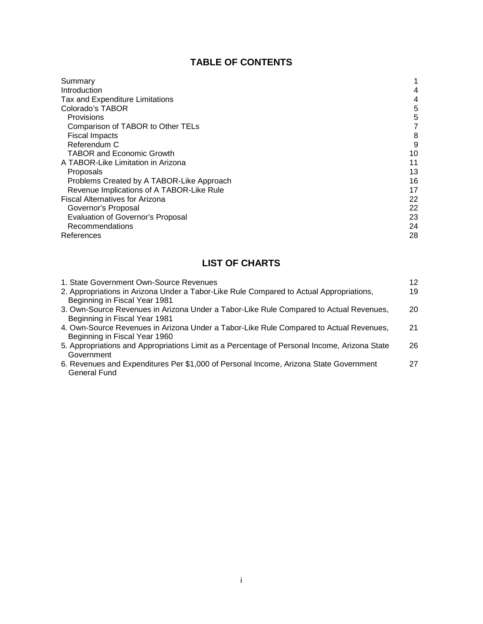## **TABLE OF CONTENTS**

| Summary                                   |    |
|-------------------------------------------|----|
| Introduction                              | 4  |
| Tax and Expenditure Limitations           | 4  |
| Colorado's TABOR                          | 5  |
| Provisions                                | 5  |
| Comparison of TABOR to Other TELs         |    |
| <b>Fiscal Impacts</b>                     | 8  |
| Referendum C                              | 9  |
| <b>TABOR and Economic Growth</b>          | 10 |
| A TABOR-Like Limitation in Arizona        | 11 |
| Proposals                                 | 13 |
| Problems Created by A TABOR-Like Approach | 16 |
| Revenue Implications of A TABOR-Like Rule | 17 |
| <b>Fiscal Alternatives for Arizona</b>    | 22 |
| Governor's Proposal                       | 22 |
| Evaluation of Governor's Proposal         | 23 |
| Recommendations                           | 24 |
| References                                | 28 |

## **LIST OF CHARTS**

| 19 |
|----|
|    |
|    |
| 20 |
| 21 |
| 26 |
| 27 |
|    |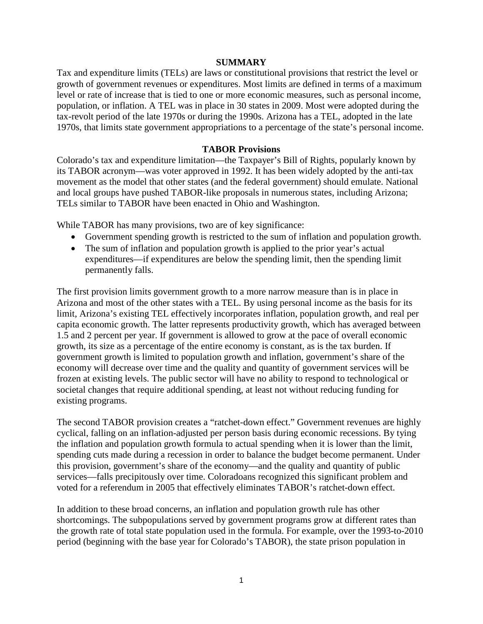#### **SUMMARY**

Tax and expenditure limits (TELs) are laws or constitutional provisions that restrict the level or growth of government revenues or expenditures. Most limits are defined in terms of a maximum level or rate of increase that is tied to one or more economic measures, such as personal income, population, or inflation. A TEL was in place in 30 states in 2009. Most were adopted during the tax-revolt period of the late 1970s or during the 1990s. Arizona has a TEL, adopted in the late 1970s, that limits state government appropriations to a percentage of the state's personal income.

## **TABOR Provisions**

Colorado's tax and expenditure limitation—the Taxpayer's Bill of Rights, popularly known by its TABOR acronym—was voter approved in 1992. It has been widely adopted by the anti-tax movement as the model that other states (and the federal government) should emulate. National and local groups have pushed TABOR-like proposals in numerous states, including Arizona; TELs similar to TABOR have been enacted in Ohio and Washington.

While TABOR has many provisions, two are of key significance:

- Government spending growth is restricted to the sum of inflation and population growth.
- The sum of inflation and population growth is applied to the prior year's actual expenditures—if expenditures are below the spending limit, then the spending limit permanently falls.

The first provision limits government growth to a more narrow measure than is in place in Arizona and most of the other states with a TEL. By using personal income as the basis for its limit, Arizona's existing TEL effectively incorporates inflation, population growth, and real per capita economic growth. The latter represents productivity growth, which has averaged between 1.5 and 2 percent per year. If government is allowed to grow at the pace of overall economic growth, its size as a percentage of the entire economy is constant, as is the tax burden. If government growth is limited to population growth and inflation, government's share of the economy will decrease over time and the quality and quantity of government services will be frozen at existing levels. The public sector will have no ability to respond to technological or societal changes that require additional spending, at least not without reducing funding for existing programs.

The second TABOR provision creates a "ratchet-down effect." Government revenues are highly cyclical, falling on an inflation-adjusted per person basis during economic recessions. By tying the inflation and population growth formula to actual spending when it is lower than the limit, spending cuts made during a recession in order to balance the budget become permanent. Under this provision, government's share of the economy—and the quality and quantity of public services—falls precipitously over time. Coloradoans recognized this significant problem and voted for a referendum in 2005 that effectively eliminates TABOR's ratchet-down effect.

In addition to these broad concerns, an inflation and population growth rule has other shortcomings. The subpopulations served by government programs grow at different rates than the growth rate of total state population used in the formula. For example, over the 1993-to-2010 period (beginning with the base year for Colorado's TABOR), the state prison population in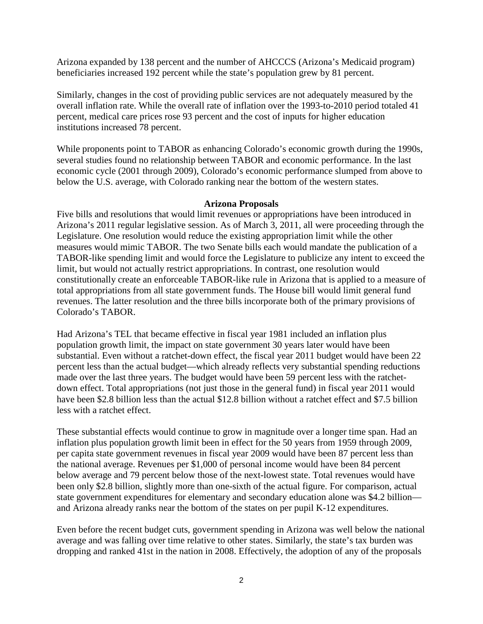Arizona expanded by 138 percent and the number of AHCCCS (Arizona's Medicaid program) beneficiaries increased 192 percent while the state's population grew by 81 percent.

Similarly, changes in the cost of providing public services are not adequately measured by the overall inflation rate. While the overall rate of inflation over the 1993-to-2010 period totaled 41 percent, medical care prices rose 93 percent and the cost of inputs for higher education institutions increased 78 percent.

While proponents point to TABOR as enhancing Colorado's economic growth during the 1990s, several studies found no relationship between TABOR and economic performance. In the last economic cycle (2001 through 2009), Colorado's economic performance slumped from above to below the U.S. average, with Colorado ranking near the bottom of the western states.

#### **Arizona Proposals**

Five bills and resolutions that would limit revenues or appropriations have been introduced in Arizona's 2011 regular legislative session. As of March 3, 2011, all were proceeding through the Legislature. One resolution would reduce the existing appropriation limit while the other measures would mimic TABOR. The two Senate bills each would mandate the publication of a TABOR-like spending limit and would force the Legislature to publicize any intent to exceed the limit, but would not actually restrict appropriations. In contrast, one resolution would constitutionally create an enforceable TABOR-like rule in Arizona that is applied to a measure of total appropriations from all state government funds. The House bill would limit general fund revenues. The latter resolution and the three bills incorporate both of the primary provisions of Colorado's TABOR.

Had Arizona's TEL that became effective in fiscal year 1981 included an inflation plus population growth limit, the impact on state government 30 years later would have been substantial. Even without a ratchet-down effect, the fiscal year 2011 budget would have been 22 percent less than the actual budget—which already reflects very substantial spending reductions made over the last three years. The budget would have been 59 percent less with the ratchetdown effect. Total appropriations (not just those in the general fund) in fiscal year 2011 would have been \$2.8 billion less than the actual \$12.8 billion without a ratchet effect and \$7.5 billion less with a ratchet effect.

These substantial effects would continue to grow in magnitude over a longer time span. Had an inflation plus population growth limit been in effect for the 50 years from 1959 through 2009, per capita state government revenues in fiscal year 2009 would have been 87 percent less than the national average. Revenues per \$1,000 of personal income would have been 84 percent below average and 79 percent below those of the next-lowest state. Total revenues would have been only \$2.8 billion, slightly more than one-sixth of the actual figure. For comparison, actual state government expenditures for elementary and secondary education alone was \$4.2 billion and Arizona already ranks near the bottom of the states on per pupil K-12 expenditures.

Even before the recent budget cuts, government spending in Arizona was well below the national average and was falling over time relative to other states. Similarly, the state's tax burden was dropping and ranked 41st in the nation in 2008. Effectively, the adoption of any of the proposals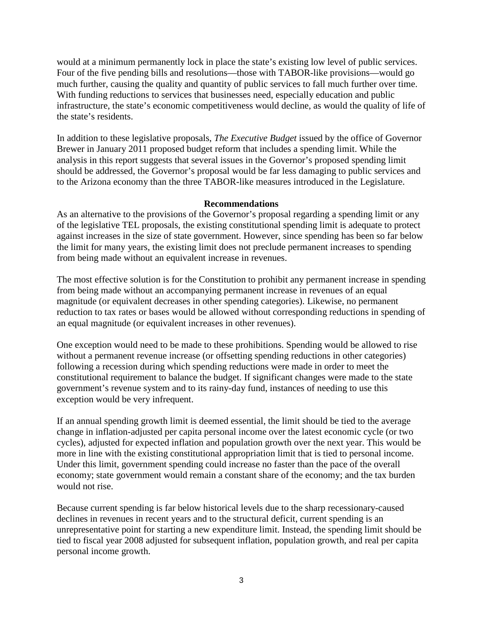would at a minimum permanently lock in place the state's existing low level of public services. Four of the five pending bills and resolutions—those with TABOR-like provisions—would go much further, causing the quality and quantity of public services to fall much further over time. With funding reductions to services that businesses need, especially education and public infrastructure, the state's economic competitiveness would decline, as would the quality of life of the state's residents.

In addition to these legislative proposals, *The Executive Budget* issued by the office of Governor Brewer in January 2011 proposed budget reform that includes a spending limit. While the analysis in this report suggests that several issues in the Governor's proposed spending limit should be addressed, the Governor's proposal would be far less damaging to public services and to the Arizona economy than the three TABOR-like measures introduced in the Legislature.

#### **Recommendations**

As an alternative to the provisions of the Governor's proposal regarding a spending limit or any of the legislative TEL proposals, the existing constitutional spending limit is adequate to protect against increases in the size of state government. However, since spending has been so far below the limit for many years, the existing limit does not preclude permanent increases to spending from being made without an equivalent increase in revenues.

The most effective solution is for the Constitution to prohibit any permanent increase in spending from being made without an accompanying permanent increase in revenues of an equal magnitude (or equivalent decreases in other spending categories). Likewise, no permanent reduction to tax rates or bases would be allowed without corresponding reductions in spending of an equal magnitude (or equivalent increases in other revenues).

One exception would need to be made to these prohibitions. Spending would be allowed to rise without a permanent revenue increase (or offsetting spending reductions in other categories) following a recession during which spending reductions were made in order to meet the constitutional requirement to balance the budget. If significant changes were made to the state government's revenue system and to its rainy-day fund, instances of needing to use this exception would be very infrequent.

If an annual spending growth limit is deemed essential, the limit should be tied to the average change in inflation-adjusted per capita personal income over the latest economic cycle (or two cycles), adjusted for expected inflation and population growth over the next year. This would be more in line with the existing constitutional appropriation limit that is tied to personal income. Under this limit, government spending could increase no faster than the pace of the overall economy; state government would remain a constant share of the economy; and the tax burden would not rise.

Because current spending is far below historical levels due to the sharp recessionary-caused declines in revenues in recent years and to the structural deficit, current spending is an unrepresentative point for starting a new expenditure limit. Instead, the spending limit should be tied to fiscal year 2008 adjusted for subsequent inflation, population growth, and real per capita personal income growth.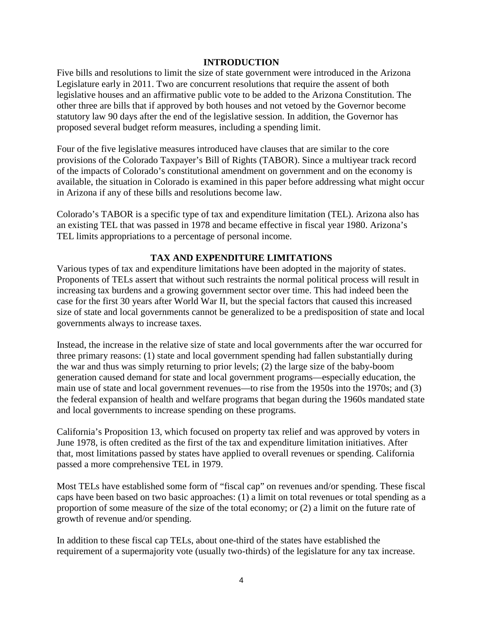## **INTRODUCTION**

Five bills and resolutions to limit the size of state government were introduced in the Arizona Legislature early in 2011. Two are concurrent resolutions that require the assent of both legislative houses and an affirmative public vote to be added to the Arizona Constitution. The other three are bills that if approved by both houses and not vetoed by the Governor become statutory law 90 days after the end of the legislative session. In addition, the Governor has proposed several budget reform measures, including a spending limit.

Four of the five legislative measures introduced have clauses that are similar to the core provisions of the Colorado Taxpayer's Bill of Rights (TABOR). Since a multiyear track record of the impacts of Colorado's constitutional amendment on government and on the economy is available, the situation in Colorado is examined in this paper before addressing what might occur in Arizona if any of these bills and resolutions become law.

Colorado's TABOR is a specific type of tax and expenditure limitation (TEL). Arizona also has an existing TEL that was passed in 1978 and became effective in fiscal year 1980. Arizona's TEL limits appropriations to a percentage of personal income.

## **TAX AND EXPENDITURE LIMITATIONS**

Various types of tax and expenditure limitations have been adopted in the majority of states. Proponents of TELs assert that without such restraints the normal political process will result in increasing tax burdens and a growing government sector over time. This had indeed been the case for the first 30 years after World War II, but the special factors that caused this increased size of state and local governments cannot be generalized to be a predisposition of state and local governments always to increase taxes.

Instead, the increase in the relative size of state and local governments after the war occurred for three primary reasons: (1) state and local government spending had fallen substantially during the war and thus was simply returning to prior levels; (2) the large size of the baby-boom generation caused demand for state and local government programs—especially education, the main use of state and local government revenues—to rise from the 1950s into the 1970s; and (3) the federal expansion of health and welfare programs that began during the 1960s mandated state and local governments to increase spending on these programs.

California's Proposition 13, which focused on property tax relief and was approved by voters in June 1978, is often credited as the first of the tax and expenditure limitation initiatives. After that, most limitations passed by states have applied to overall revenues or spending. California passed a more comprehensive TEL in 1979.

Most TELs have established some form of "fiscal cap" on revenues and/or spending. These fiscal caps have been based on two basic approaches: (1) a limit on total revenues or total spending as a proportion of some measure of the size of the total economy; or (2) a limit on the future rate of growth of revenue and/or spending.

In addition to these fiscal cap TELs, about one-third of the states have established the requirement of a supermajority vote (usually two-thirds) of the legislature for any tax increase.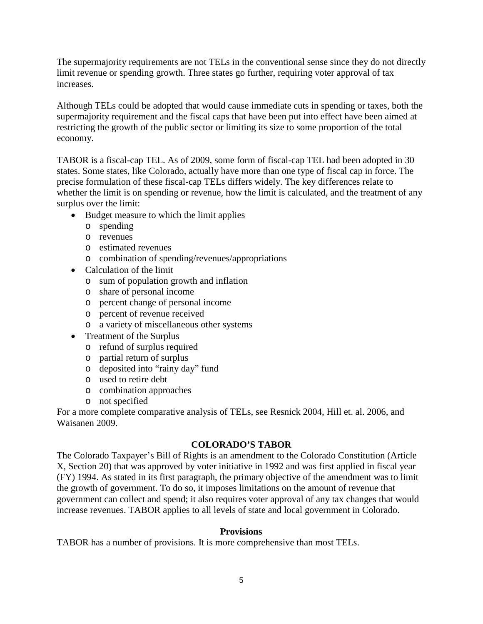The supermajority requirements are not TELs in the conventional sense since they do not directly limit revenue or spending growth. Three states go further, requiring voter approval of tax increases.

Although TELs could be adopted that would cause immediate cuts in spending or taxes, both the supermajority requirement and the fiscal caps that have been put into effect have been aimed at restricting the growth of the public sector or limiting its size to some proportion of the total economy.

TABOR is a fiscal-cap TEL. As of 2009, some form of fiscal-cap TEL had been adopted in 30 states. Some states, like Colorado, actually have more than one type of fiscal cap in force. The precise formulation of these fiscal-cap TELs differs widely. The key differences relate to whether the limit is on spending or revenue, how the limit is calculated, and the treatment of any surplus over the limit:

- Budget measure to which the limit applies
	- o spending
	- o revenues
	- o estimated revenues
	- o combination of spending/revenues/appropriations
- Calculation of the limit
	- o sum of population growth and inflation
	- o share of personal income
	- o percent change of personal income
	- o percent of revenue received
	- o a variety of miscellaneous other systems
- Treatment of the Surplus
	- o refund of surplus required
	- o partial return of surplus
	- o deposited into "rainy day" fund
	- o used to retire debt
	- o combination approaches
	- o not specified

For a more complete comparative analysis of TELs, see Resnick 2004, Hill et. al. 2006, and Waisanen 2009.

## **COLORADO'S TABOR**

The Colorado Taxpayer's Bill of Rights is an amendment to the Colorado Constitution (Article X, Section 20) that was approved by voter initiative in 1992 and was first applied in fiscal year (FY) 1994. As stated in its first paragraph, the primary objective of the amendment was to limit the growth of government. To do so, it imposes limitations on the amount of revenue that government can collect and spend; it also requires voter approval of any tax changes that would increase revenues. TABOR applies to all levels of state and local government in Colorado.

## **Provisions**

TABOR has a number of provisions. It is more comprehensive than most TELs.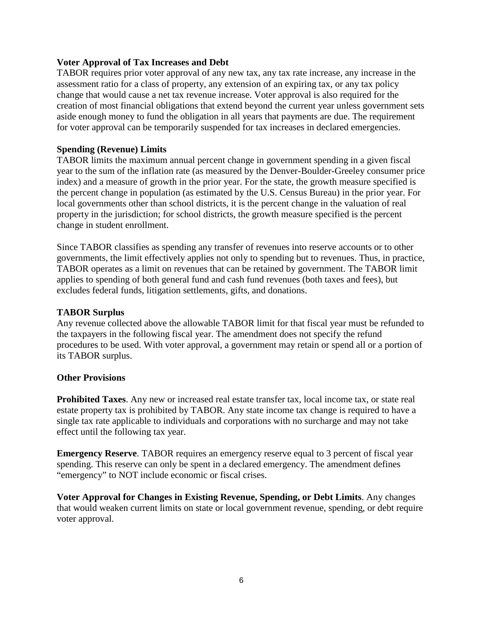## **Voter Approval of Tax Increases and Debt**

TABOR requires prior voter approval of any new tax, any tax rate increase, any increase in the assessment ratio for a class of property, any extension of an expiring tax, or any tax policy change that would cause a net tax revenue increase. Voter approval is also required for the creation of most financial obligations that extend beyond the current year unless government sets aside enough money to fund the obligation in all years that payments are due. The requirement for voter approval can be temporarily suspended for tax increases in declared emergencies.

### **Spending (Revenue) Limits**

TABOR limits the maximum annual percent change in government spending in a given fiscal year to the sum of the inflation rate (as measured by the Denver-Boulder-Greeley consumer price index) and a measure of growth in the prior year. For the state, the growth measure specified is the percent change in population (as estimated by the U.S. Census Bureau) in the prior year. For local governments other than school districts, it is the percent change in the valuation of real property in the jurisdiction; for school districts, the growth measure specified is the percent change in student enrollment.

Since TABOR classifies as spending any transfer of revenues into reserve accounts or to other governments, the limit effectively applies not only to spending but to revenues. Thus, in practice, TABOR operates as a limit on revenues that can be retained by government. The TABOR limit applies to spending of both general fund and cash fund revenues (both taxes and fees), but excludes federal funds, litigation settlements, gifts, and donations.

#### **TABOR Surplus**

Any revenue collected above the allowable TABOR limit for that fiscal year must be refunded to the taxpayers in the following fiscal year. The amendment does not specify the refund procedures to be used. With voter approval, a government may retain or spend all or a portion of its TABOR surplus.

#### **Other Provisions**

**Prohibited Taxes**. Any new or increased real estate transfer tax, local income tax, or state real estate property tax is prohibited by TABOR. Any state income tax change is required to have a single tax rate applicable to individuals and corporations with no surcharge and may not take effect until the following tax year.

**Emergency Reserve**. TABOR requires an emergency reserve equal to 3 percent of fiscal year spending. This reserve can only be spent in a declared emergency. The amendment defines "emergency" to NOT include economic or fiscal crises.

**Voter Approval for Changes in Existing Revenue, Spending, or Debt Limits**. Any changes that would weaken current limits on state or local government revenue, spending, or debt require voter approval.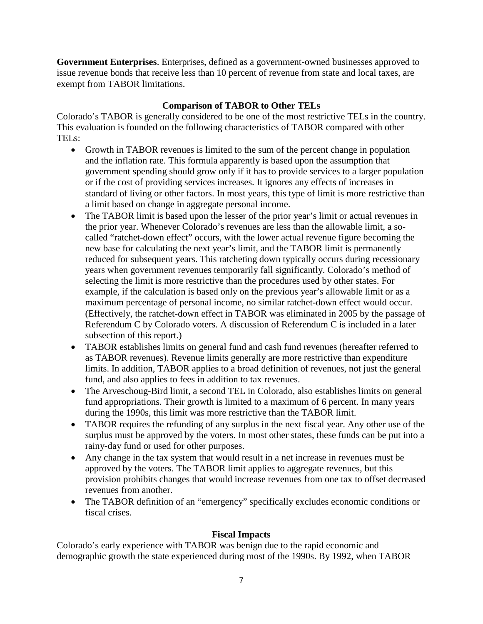**Government Enterprises**. Enterprises, defined as a government-owned businesses approved to issue revenue bonds that receive less than 10 percent of revenue from state and local taxes, are exempt from TABOR limitations.

## **Comparison of TABOR to Other TELs**

Colorado's TABOR is generally considered to be one of the most restrictive TELs in the country. This evaluation is founded on the following characteristics of TABOR compared with other TELs:

- Growth in TABOR revenues is limited to the sum of the percent change in population and the inflation rate. This formula apparently is based upon the assumption that government spending should grow only if it has to provide services to a larger population or if the cost of providing services increases. It ignores any effects of increases in standard of living or other factors. In most years, this type of limit is more restrictive than a limit based on change in aggregate personal income.
- The TABOR limit is based upon the lesser of the prior year's limit or actual revenues in the prior year. Whenever Colorado's revenues are less than the allowable limit, a socalled "ratchet-down effect" occurs, with the lower actual revenue figure becoming the new base for calculating the next year's limit, and the TABOR limit is permanently reduced for subsequent years. This ratcheting down typically occurs during recessionary years when government revenues temporarily fall significantly. Colorado's method of selecting the limit is more restrictive than the procedures used by other states. For example, if the calculation is based only on the previous year's allowable limit or as a maximum percentage of personal income, no similar ratchet-down effect would occur. (Effectively, the ratchet-down effect in TABOR was eliminated in 2005 by the passage of Referendum C by Colorado voters. A discussion of Referendum C is included in a later subsection of this report.)
- TABOR establishes limits on general fund and cash fund revenues (hereafter referred to as TABOR revenues). Revenue limits generally are more restrictive than expenditure limits. In addition, TABOR applies to a broad definition of revenues, not just the general fund, and also applies to fees in addition to tax revenues.
- The Arveschoug-Bird limit, a second TEL in Colorado, also establishes limits on general fund appropriations. Their growth is limited to a maximum of 6 percent. In many years during the 1990s, this limit was more restrictive than the TABOR limit.
- TABOR requires the refunding of any surplus in the next fiscal year. Any other use of the surplus must be approved by the voters. In most other states, these funds can be put into a rainy-day fund or used for other purposes.
- Any change in the tax system that would result in a net increase in revenues must be approved by the voters. The TABOR limit applies to aggregate revenues, but this provision prohibits changes that would increase revenues from one tax to offset decreased revenues from another.
- The TABOR definition of an "emergency" specifically excludes economic conditions or fiscal crises.

## **Fiscal Impacts**

Colorado's early experience with TABOR was benign due to the rapid economic and demographic growth the state experienced during most of the 1990s. By 1992, when TABOR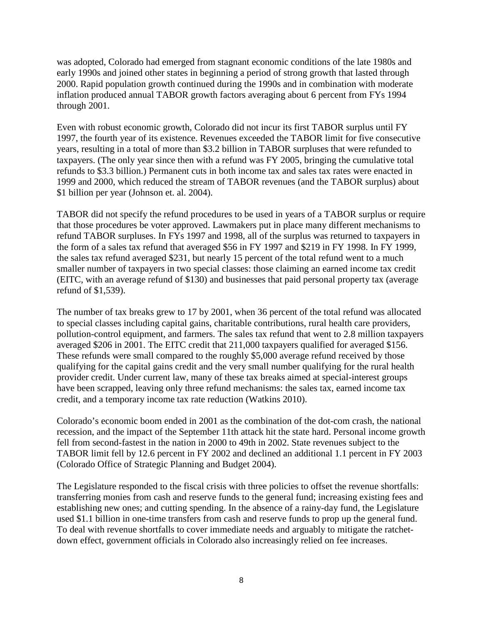was adopted, Colorado had emerged from stagnant economic conditions of the late 1980s and early 1990s and joined other states in beginning a period of strong growth that lasted through 2000. Rapid population growth continued during the 1990s and in combination with moderate inflation produced annual TABOR growth factors averaging about 6 percent from FYs 1994 through 2001.

Even with robust economic growth, Colorado did not incur its first TABOR surplus until FY 1997, the fourth year of its existence. Revenues exceeded the TABOR limit for five consecutive years, resulting in a total of more than \$3.2 billion in TABOR surpluses that were refunded to taxpayers. (The only year since then with a refund was FY 2005, bringing the cumulative total refunds to \$3.3 billion.) Permanent cuts in both income tax and sales tax rates were enacted in 1999 and 2000, which reduced the stream of TABOR revenues (and the TABOR surplus) about \$1 billion per year (Johnson et. al. 2004).

TABOR did not specify the refund procedures to be used in years of a TABOR surplus or require that those procedures be voter approved. Lawmakers put in place many different mechanisms to refund TABOR surpluses. In FYs 1997 and 1998, all of the surplus was returned to taxpayers in the form of a sales tax refund that averaged \$56 in FY 1997 and \$219 in FY 1998. In FY 1999, the sales tax refund averaged \$231, but nearly 15 percent of the total refund went to a much smaller number of taxpayers in two special classes: those claiming an earned income tax credit (EITC, with an average refund of \$130) and businesses that paid personal property tax (average refund of \$1,539).

The number of tax breaks grew to 17 by 2001, when 36 percent of the total refund was allocated to special classes including capital gains, charitable contributions, rural health care providers, pollution-control equipment, and farmers. The sales tax refund that went to 2.8 million taxpayers averaged \$206 in 2001. The EITC credit that 211,000 taxpayers qualified for averaged \$156. These refunds were small compared to the roughly \$5,000 average refund received by those qualifying for the capital gains credit and the very small number qualifying for the rural health provider credit. Under current law, many of these tax breaks aimed at special-interest groups have been scrapped, leaving only three refund mechanisms: the sales tax, earned income tax credit, and a temporary income tax rate reduction (Watkins 2010).

Colorado's economic boom ended in 2001 as the combination of the dot-com crash, the national recession, and the impact of the September 11th attack hit the state hard. Personal income growth fell from second-fastest in the nation in 2000 to 49th in 2002. State revenues subject to the TABOR limit fell by 12.6 percent in FY 2002 and declined an additional 1.1 percent in FY 2003 (Colorado Office of Strategic Planning and Budget 2004).

The Legislature responded to the fiscal crisis with three policies to offset the revenue shortfalls: transferring monies from cash and reserve funds to the general fund; increasing existing fees and establishing new ones; and cutting spending. In the absence of a rainy-day fund, the Legislature used \$1.1 billion in one-time transfers from cash and reserve funds to prop up the general fund. To deal with revenue shortfalls to cover immediate needs and arguably to mitigate the ratchetdown effect, government officials in Colorado also increasingly relied on fee increases.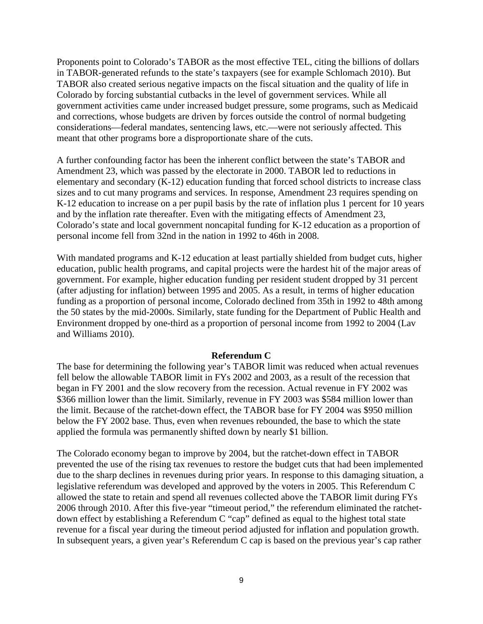Proponents point to Colorado's TABOR as the most effective TEL, citing the billions of dollars in TABOR-generated refunds to the state's taxpayers (see for example Schlomach 2010). But TABOR also created serious negative impacts on the fiscal situation and the quality of life in Colorado by forcing substantial cutbacks in the level of government services. While all government activities came under increased budget pressure, some programs, such as Medicaid and corrections, whose budgets are driven by forces outside the control of normal budgeting considerations—federal mandates, sentencing laws, etc.—were not seriously affected. This meant that other programs bore a disproportionate share of the cuts.

A further confounding factor has been the inherent conflict between the state's TABOR and Amendment 23, which was passed by the electorate in 2000. TABOR led to reductions in elementary and secondary (K-12) education funding that forced school districts to increase class sizes and to cut many programs and services. In response, Amendment 23 requires spending on K-12 education to increase on a per pupil basis by the rate of inflation plus 1 percent for 10 years and by the inflation rate thereafter. Even with the mitigating effects of Amendment 23, Colorado's state and local government noncapital funding for K-12 education as a proportion of personal income fell from 32nd in the nation in 1992 to 46th in 2008.

With mandated programs and K-12 education at least partially shielded from budget cuts, higher education, public health programs, and capital projects were the hardest hit of the major areas of government. For example, higher education funding per resident student dropped by 31 percent (after adjusting for inflation) between 1995 and 2005. As a result, in terms of higher education funding as a proportion of personal income, Colorado declined from 35th in 1992 to 48th among the 50 states by the mid-2000s. Similarly, state funding for the Department of Public Health and Environment dropped by one-third as a proportion of personal income from 1992 to 2004 (Lav and Williams 2010).

#### **Referendum C**

The base for determining the following year's TABOR limit was reduced when actual revenues fell below the allowable TABOR limit in FYs 2002 and 2003, as a result of the recession that began in FY 2001 and the slow recovery from the recession. Actual revenue in FY 2002 was \$366 million lower than the limit. Similarly, revenue in FY 2003 was \$584 million lower than the limit. Because of the ratchet-down effect, the TABOR base for FY 2004 was \$950 million below the FY 2002 base. Thus, even when revenues rebounded, the base to which the state applied the formula was permanently shifted down by nearly \$1 billion.

The Colorado economy began to improve by 2004, but the ratchet-down effect in TABOR prevented the use of the rising tax revenues to restore the budget cuts that had been implemented due to the sharp declines in revenues during prior years. In response to this damaging situation, a legislative referendum was developed and approved by the voters in 2005. This Referendum C allowed the state to retain and spend all revenues collected above the TABOR limit during FYs 2006 through 2010. After this five-year "timeout period," the referendum eliminated the ratchetdown effect by establishing a Referendum C "cap" defined as equal to the highest total state revenue for a fiscal year during the timeout period adjusted for inflation and population growth. In subsequent years, a given year's Referendum C cap is based on the previous year's cap rather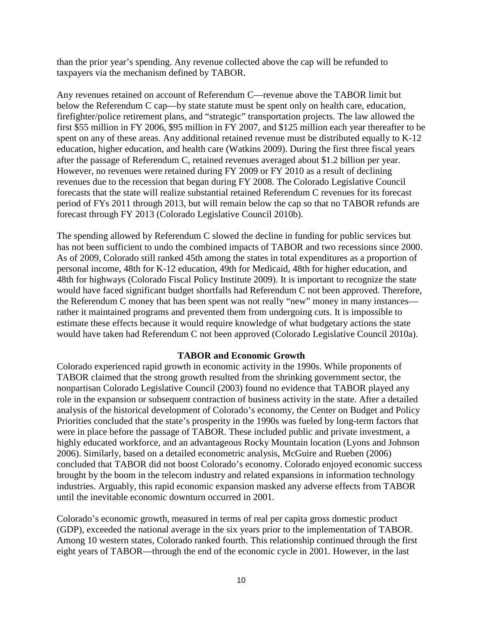than the prior year's spending. Any revenue collected above the cap will be refunded to taxpayers via the mechanism defined by TABOR.

Any revenues retained on account of Referendum C—revenue above the TABOR limit but below the Referendum C cap—by state statute must be spent only on health care, education, firefighter/police retirement plans, and "strategic" transportation projects. The law allowed the first \$55 million in FY 2006, \$95 million in FY 2007, and \$125 million each year thereafter to be spent on any of these areas. Any additional retained revenue must be distributed equally to K-12 education, higher education, and health care (Watkins 2009). During the first three fiscal years after the passage of Referendum C, retained revenues averaged about \$1.2 billion per year. However, no revenues were retained during FY 2009 or FY 2010 as a result of declining revenues due to the recession that began during FY 2008. The Colorado Legislative Council forecasts that the state will realize substantial retained Referendum C revenues for its forecast period of FYs 2011 through 2013, but will remain below the cap so that no TABOR refunds are forecast through FY 2013 (Colorado Legislative Council 2010b).

The spending allowed by Referendum C slowed the decline in funding for public services but has not been sufficient to undo the combined impacts of TABOR and two recessions since 2000. As of 2009, Colorado still ranked 45th among the states in total expenditures as a proportion of personal income, 48th for K-12 education, 49th for Medicaid, 48th for higher education, and 48th for highways (Colorado Fiscal Policy Institute 2009). It is important to recognize the state would have faced significant budget shortfalls had Referendum C not been approved. Therefore, the Referendum C money that has been spent was not really "new" money in many instances rather it maintained programs and prevented them from undergoing cuts. It is impossible to estimate these effects because it would require knowledge of what budgetary actions the state would have taken had Referendum C not been approved (Colorado Legislative Council 2010a).

## **TABOR and Economic Growth**

Colorado experienced rapid growth in economic activity in the 1990s. While proponents of TABOR claimed that the strong growth resulted from the shrinking government sector, the nonpartisan Colorado Legislative Council (2003) found no evidence that TABOR played any role in the expansion or subsequent contraction of business activity in the state. After a detailed analysis of the historical development of Colorado's economy, the Center on Budget and Policy Priorities concluded that the state's prosperity in the 1990s was fueled by long-term factors that were in place before the passage of TABOR. These included public and private investment, a highly educated workforce, and an advantageous Rocky Mountain location (Lyons and Johnson 2006). Similarly, based on a detailed econometric analysis, McGuire and Rueben (2006) concluded that TABOR did not boost Colorado's economy. Colorado enjoyed economic success brought by the boom in the telecom industry and related expansions in information technology industries. Arguably, this rapid economic expansion masked any adverse effects from TABOR until the inevitable economic downturn occurred in 2001.

Colorado's economic growth, measured in terms of real per capita gross domestic product (GDP), exceeded the national average in the six years prior to the implementation of TABOR. Among 10 western states, Colorado ranked fourth. This relationship continued through the first eight years of TABOR—through the end of the economic cycle in 2001. However, in the last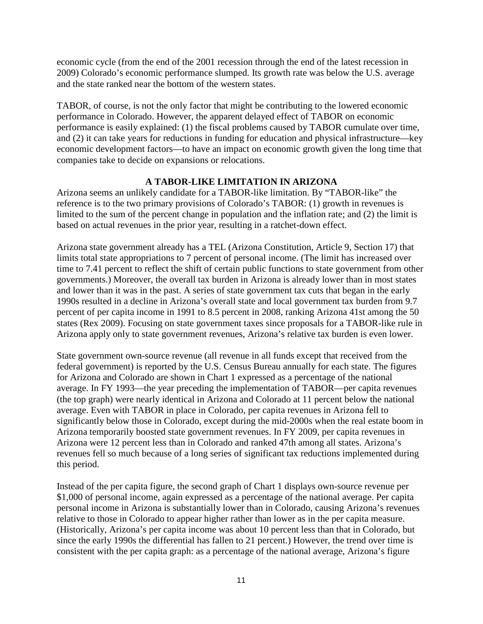economic cycle (from the end of the 2001 recession through the end of the latest recession in 2009) Colorado's economic performance slumped. Its growth rate was below the U.S. average and the state ranked near the bottom of the western states.

TABOR, of course, is not the only factor that might be contributing to the lowered economic performance in Colorado. However, the apparent delayed effect of TABOR on economic performance is easily explained: (1) the fiscal problems caused by TABOR cumulate over time, and (2) it can take years for reductions in funding for education and physical infrastructure—key economic development factors—to have an impact on economic growth given the long time that companies take to decide on expansions or relocations.

## **A TABOR-LIKE LIMITATION IN ARIZONA**

Arizona seems an unlikely candidate for a TABOR-like limitation. By "TABOR-like" the reference is to the two primary provisions of Colorado's TABOR: (1) growth in revenues is limited to the sum of the percent change in population and the inflation rate; and (2) the limit is based on actual revenues in the prior year, resulting in a ratchet-down effect.

Arizona state government already has a TEL (Arizona Constitution, Article 9, Section 17) that limits total state appropriations to 7 percent of personal income. (The limit has increased over time to 7.41 percent to reflect the shift of certain public functions to state government from other governments.) Moreover, the overall tax burden in Arizona is already lower than in most states and lower than it was in the past. A series of state government tax cuts that began in the early 1990s resulted in a decline in Arizona's overall state and local government tax burden from 9.7 percent of per capita income in 1991 to 8.5 percent in 2008, ranking Arizona 41st among the 50 states (Rex 2009). Focusing on state government taxes since proposals for a TABOR-like rule in Arizona apply only to state government revenues, Arizona's relative tax burden is even lower.

State government own-source revenue (all revenue in all funds except that received from the federal government) is reported by the U.S. Census Bureau annually for each state. The figures for Arizona and Colorado are shown in Chart 1 expressed as a percentage of the national average. In FY 1993—the year preceding the implementation of TABOR—per capita revenues (the top graph) were nearly identical in Arizona and Colorado at 11 percent below the national average. Even with TABOR in place in Colorado, per capita revenues in Arizona fell to significantly below those in Colorado, except during the mid-2000s when the real estate boom in Arizona temporarily boosted state government revenues. In FY 2009, per capita revenues in Arizona were 12 percent less than in Colorado and ranked 47th among all states. Arizona's revenues fell so much because of a long series of significant tax reductions implemented during this period.

Instead of the per capita figure, the second graph of Chart 1 displays own-source revenue per \$1,000 of personal income, again expressed as a percentage of the national average. Per capita personal income in Arizona is substantially lower than in Colorado, causing Arizona's revenues relative to those in Colorado to appear higher rather than lower as in the per capita measure. (Historically, Arizona's per capita income was about 10 percent less than that in Colorado, but since the early 1990s the differential has fallen to 21 percent.) However, the trend over time is consistent with the per capita graph: as a percentage of the national average, Arizona's figure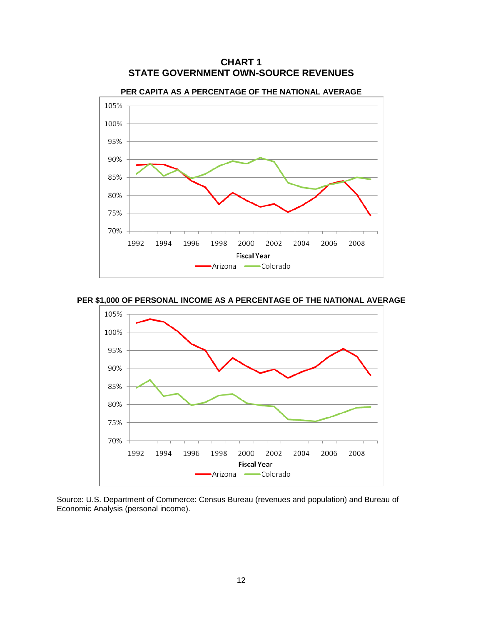

**CHART 1 STATE GOVERNMENT OWN-SOURCE REVENUES**

**PER \$1,000 OF PERSONAL INCOME AS A PERCENTAGE OF THE NATIONAL AVERAGE**



Source: U.S. Department of Commerce: Census Bureau (revenues and population) and Bureau of Economic Analysis (personal income).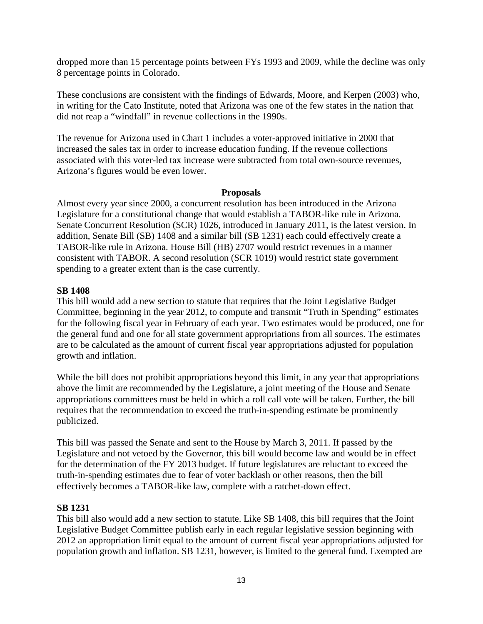dropped more than 15 percentage points between FYs 1993 and 2009, while the decline was only 8 percentage points in Colorado.

These conclusions are consistent with the findings of Edwards, Moore, and Kerpen (2003) who, in writing for the Cato Institute, noted that Arizona was one of the few states in the nation that did not reap a "windfall" in revenue collections in the 1990s.

The revenue for Arizona used in Chart 1 includes a voter-approved initiative in 2000 that increased the sales tax in order to increase education funding. If the revenue collections associated with this voter-led tax increase were subtracted from total own-source revenues, Arizona's figures would be even lower.

#### **Proposals**

Almost every year since 2000, a concurrent resolution has been introduced in the Arizona Legislature for a constitutional change that would establish a TABOR-like rule in Arizona. Senate Concurrent Resolution (SCR) 1026, introduced in January 2011, is the latest version. In addition, Senate Bill (SB) 1408 and a similar bill (SB 1231) each could effectively create a TABOR-like rule in Arizona. House Bill (HB) 2707 would restrict revenues in a manner consistent with TABOR. A second resolution (SCR 1019) would restrict state government spending to a greater extent than is the case currently.

## **SB 1408**

This bill would add a new section to statute that requires that the Joint Legislative Budget Committee, beginning in the year 2012, to compute and transmit "Truth in Spending" estimates for the following fiscal year in February of each year. Two estimates would be produced, one for the general fund and one for all state government appropriations from all sources. The estimates are to be calculated as the amount of current fiscal year appropriations adjusted for population growth and inflation.

While the bill does not prohibit appropriations beyond this limit, in any year that appropriations above the limit are recommended by the Legislature, a joint meeting of the House and Senate appropriations committees must be held in which a roll call vote will be taken. Further, the bill requires that the recommendation to exceed the truth-in-spending estimate be prominently publicized.

This bill was passed the Senate and sent to the House by March 3, 2011. If passed by the Legislature and not vetoed by the Governor, this bill would become law and would be in effect for the determination of the FY 2013 budget. If future legislatures are reluctant to exceed the truth-in-spending estimates due to fear of voter backlash or other reasons, then the bill effectively becomes a TABOR-like law, complete with a ratchet-down effect.

## **SB 1231**

This bill also would add a new section to statute. Like SB 1408, this bill requires that the Joint Legislative Budget Committee publish early in each regular legislative session beginning with 2012 an appropriation limit equal to the amount of current fiscal year appropriations adjusted for population growth and inflation. SB 1231, however, is limited to the general fund. Exempted are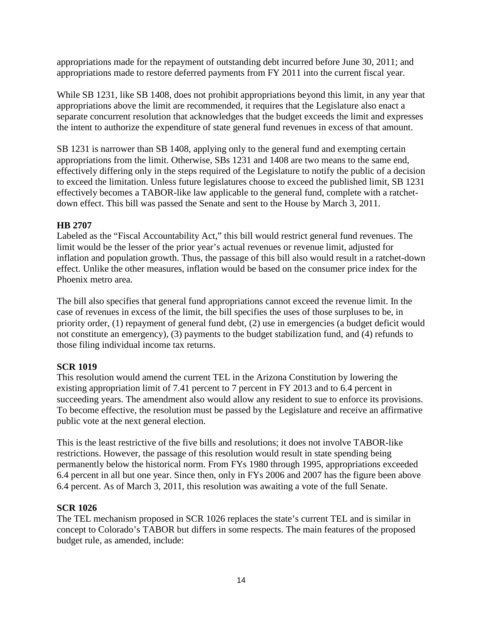appropriations made for the repayment of outstanding debt incurred before June 30, 2011; and appropriations made to restore deferred payments from FY 2011 into the current fiscal year.

While SB 1231, like SB 1408, does not prohibit appropriations beyond this limit, in any year that appropriations above the limit are recommended, it requires that the Legislature also enact a separate concurrent resolution that acknowledges that the budget exceeds the limit and expresses the intent to authorize the expenditure of state general fund revenues in excess of that amount.

SB 1231 is narrower than SB 1408, applying only to the general fund and exempting certain appropriations from the limit. Otherwise, SBs 1231 and 1408 are two means to the same end, effectively differing only in the steps required of the Legislature to notify the public of a decision to exceed the limitation. Unless future legislatures choose to exceed the published limit, SB 1231 effectively becomes a TABOR-like law applicable to the general fund, complete with a ratchetdown effect. This bill was passed the Senate and sent to the House by March 3, 2011.

## **HB 2707**

Labeled as the "Fiscal Accountability Act," this bill would restrict general fund revenues. The limit would be the lesser of the prior year's actual revenues or revenue limit, adjusted for inflation and population growth. Thus, the passage of this bill also would result in a ratchet-down effect. Unlike the other measures, inflation would be based on the consumer price index for the Phoenix metro area.

The bill also specifies that general fund appropriations cannot exceed the revenue limit. In the case of revenues in excess of the limit, the bill specifies the uses of those surpluses to be, in priority order, (1) repayment of general fund debt, (2) use in emergencies (a budget deficit would not constitute an emergency), (3) payments to the budget stabilization fund, and (4) refunds to those filing individual income tax returns.

## **SCR 1019**

This resolution would amend the current TEL in the Arizona Constitution by lowering the existing appropriation limit of 7.41 percent to 7 percent in FY 2013 and to 6.4 percent in succeeding years. The amendment also would allow any resident to sue to enforce its provisions. To become effective, the resolution must be passed by the Legislature and receive an affirmative public vote at the next general election.

This is the least restrictive of the five bills and resolutions; it does not involve TABOR-like restrictions. However, the passage of this resolution would result in state spending being permanently below the historical norm. From FYs 1980 through 1995, appropriations exceeded 6.4 percent in all but one year. Since then, only in FYs 2006 and 2007 has the figure been above 6.4 percent. As of March 3, 2011, this resolution was awaiting a vote of the full Senate.

## **SCR 1026**

The TEL mechanism proposed in SCR 1026 replaces the state's current TEL and is similar in concept to Colorado's TABOR but differs in some respects. The main features of the proposed budget rule, as amended, include: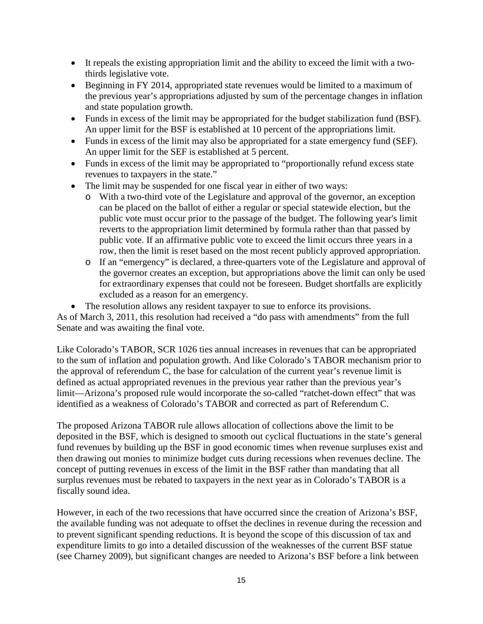- It repeals the existing appropriation limit and the ability to exceed the limit with a twothirds legislative vote.
- Beginning in FY 2014, appropriated state revenues would be limited to a maximum of the previous year's appropriations adjusted by sum of the percentage changes in inflation and state population growth.
- Funds in excess of the limit may be appropriated for the budget stabilization fund (BSF). An upper limit for the BSF is established at 10 percent of the appropriations limit.
- Funds in excess of the limit may also be appropriated for a state emergency fund (SEF). An upper limit for the SEF is established at 5 percent.
- Funds in excess of the limit may be appropriated to "proportionally refund excess state" revenues to taxpayers in the state."
- The limit may be suspended for one fiscal year in either of two ways:
	- o With a two-third vote of the Legislature and approval of the governor, an exception can be placed on the ballot of either a regular or special statewide election, but the public vote must occur prior to the passage of the budget. The following year's limit reverts to the appropriation limit determined by formula rather than that passed by public vote. If an affirmative public vote to exceed the limit occurs three years in a row, then the limit is reset based on the most recent publicly approved appropriation.
	- o If an "emergency" is declared, a three-quarters vote of the Legislature and approval of the governor creates an exception, but appropriations above the limit can only be used for extraordinary expenses that could not be foreseen. Budget shortfalls are explicitly excluded as a reason for an emergency.
- The resolution allows any resident taxpayer to sue to enforce its provisions.

As of March 3, 2011, this resolution had received a "do pass with amendments" from the full Senate and was awaiting the final vote.

Like Colorado's TABOR, SCR 1026 ties annual increases in revenues that can be appropriated to the sum of inflation and population growth. And like Colorado's TABOR mechanism prior to the approval of referendum C, the base for calculation of the current year's revenue limit is defined as actual appropriated revenues in the previous year rather than the previous year's limit—Arizona's proposed rule would incorporate the so-called "ratchet-down effect" that was identified as a weakness of Colorado's TABOR and corrected as part of Referendum C.

The proposed Arizona TABOR rule allows allocation of collections above the limit to be deposited in the BSF, which is designed to smooth out cyclical fluctuations in the state's general fund revenues by building up the BSF in good economic times when revenue surpluses exist and then drawing out monies to minimize budget cuts during recessions when revenues decline. The concept of putting revenues in excess of the limit in the BSF rather than mandating that all surplus revenues must be rebated to taxpayers in the next year as in Colorado's TABOR is a fiscally sound idea.

However, in each of the two recessions that have occurred since the creation of Arizona's BSF, the available funding was not adequate to offset the declines in revenue during the recession and to prevent significant spending reductions. It is beyond the scope of this discussion of tax and expenditure limits to go into a detailed discussion of the weaknesses of the current BSF statue (see Charney 2009), but significant changes are needed to Arizona's BSF before a link between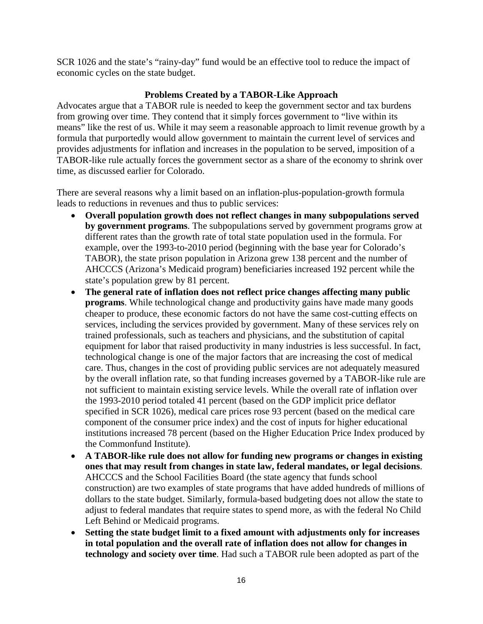SCR 1026 and the state's "rainy-day" fund would be an effective tool to reduce the impact of economic cycles on the state budget.

## **Problems Created by a TABOR-Like Approach**

Advocates argue that a TABOR rule is needed to keep the government sector and tax burdens from growing over time. They contend that it simply forces government to "live within its means" like the rest of us. While it may seem a reasonable approach to limit revenue growth by a formula that purportedly would allow government to maintain the current level of services and provides adjustments for inflation and increases in the population to be served, imposition of a TABOR-like rule actually forces the government sector as a share of the economy to shrink over time, as discussed earlier for Colorado.

There are several reasons why a limit based on an inflation-plus-population-growth formula leads to reductions in revenues and thus to public services:

- **Overall population growth does not reflect changes in many subpopulations served by government programs**. The subpopulations served by government programs grow at different rates than the growth rate of total state population used in the formula. For example, over the 1993-to-2010 period (beginning with the base year for Colorado's TABOR), the state prison population in Arizona grew 138 percent and the number of AHCCCS (Arizona's Medicaid program) beneficiaries increased 192 percent while the state's population grew by 81 percent.
- **The general rate of inflation does not reflect price changes affecting many public programs**. While technological change and productivity gains have made many goods cheaper to produce, these economic factors do not have the same cost-cutting effects on services, including the services provided by government. Many of these services rely on trained professionals, such as teachers and physicians, and the substitution of capital equipment for labor that raised productivity in many industries is less successful. In fact, technological change is one of the major factors that are increasing the cost of medical care. Thus, changes in the cost of providing public services are not adequately measured by the overall inflation rate, so that funding increases governed by a TABOR-like rule are not sufficient to maintain existing service levels. While the overall rate of inflation over the 1993-2010 period totaled 41 percent (based on the GDP implicit price deflator specified in SCR 1026), medical care prices rose 93 percent (based on the medical care component of the consumer price index) and the cost of inputs for higher educational institutions increased 78 percent (based on the Higher Education Price Index produced by the Commonfund Institute).
- **A TABOR-like rule does not allow for funding new programs or changes in existing ones that may result from changes in state law, federal mandates, or legal decisions**. AHCCCS and the School Facilities Board (the state agency that funds school construction) are two examples of state programs that have added hundreds of millions of dollars to the state budget. Similarly, formula-based budgeting does not allow the state to adjust to federal mandates that require states to spend more, as with the federal No Child Left Behind or Medicaid programs.
- **Setting the state budget limit to a fixed amount with adjustments only for increases in total population and the overall rate of inflation does not allow for changes in technology and society over time**. Had such a TABOR rule been adopted as part of the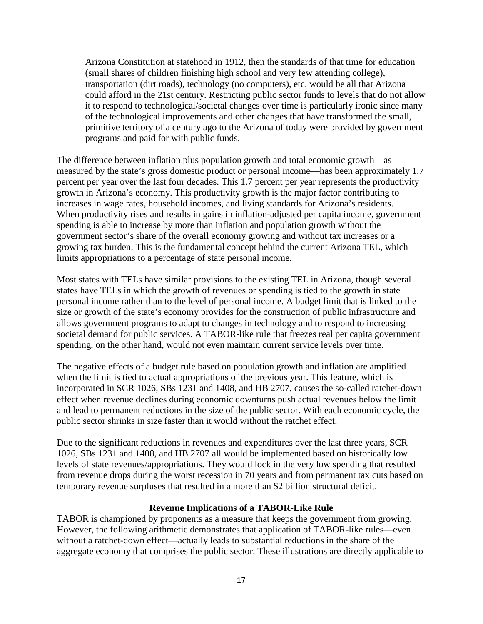Arizona Constitution at statehood in 1912, then the standards of that time for education (small shares of children finishing high school and very few attending college), transportation (dirt roads), technology (no computers), etc. would be all that Arizona could afford in the 21st century. Restricting public sector funds to levels that do not allow it to respond to technological/societal changes over time is particularly ironic since many of the technological improvements and other changes that have transformed the small, primitive territory of a century ago to the Arizona of today were provided by government programs and paid for with public funds.

The difference between inflation plus population growth and total economic growth—as measured by the state's gross domestic product or personal income—has been approximately 1.7 percent per year over the last four decades. This 1.7 percent per year represents the productivity growth in Arizona's economy. This productivity growth is the major factor contributing to increases in wage rates, household incomes, and living standards for Arizona's residents. When productivity rises and results in gains in inflation-adjusted per capita income, government spending is able to increase by more than inflation and population growth without the government sector's share of the overall economy growing and without tax increases or a growing tax burden. This is the fundamental concept behind the current Arizona TEL, which limits appropriations to a percentage of state personal income.

Most states with TELs have similar provisions to the existing TEL in Arizona, though several states have TELs in which the growth of revenues or spending is tied to the growth in state personal income rather than to the level of personal income. A budget limit that is linked to the size or growth of the state's economy provides for the construction of public infrastructure and allows government programs to adapt to changes in technology and to respond to increasing societal demand for public services. A TABOR-like rule that freezes real per capita government spending, on the other hand, would not even maintain current service levels over time.

The negative effects of a budget rule based on population growth and inflation are amplified when the limit is tied to actual appropriations of the previous year. This feature, which is incorporated in SCR 1026, SBs 1231 and 1408, and HB 2707, causes the so-called ratchet-down effect when revenue declines during economic downturns push actual revenues below the limit and lead to permanent reductions in the size of the public sector. With each economic cycle, the public sector shrinks in size faster than it would without the ratchet effect.

Due to the significant reductions in revenues and expenditures over the last three years, SCR 1026, SBs 1231 and 1408, and HB 2707 all would be implemented based on historically low levels of state revenues/appropriations. They would lock in the very low spending that resulted from revenue drops during the worst recession in 70 years and from permanent tax cuts based on temporary revenue surpluses that resulted in a more than \$2 billion structural deficit.

## **Revenue Implications of a TABOR-Like Rule**

TABOR is championed by proponents as a measure that keeps the government from growing. However, the following arithmetic demonstrates that application of TABOR-like rules—even without a ratchet-down effect—actually leads to substantial reductions in the share of the aggregate economy that comprises the public sector. These illustrations are directly applicable to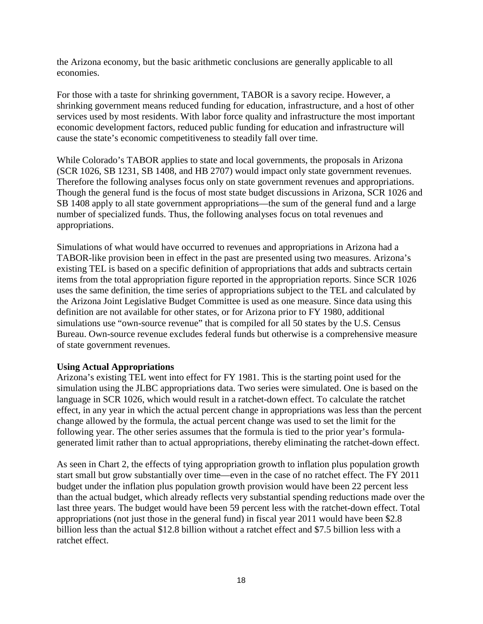the Arizona economy, but the basic arithmetic conclusions are generally applicable to all economies.

For those with a taste for shrinking government, TABOR is a savory recipe. However, a shrinking government means reduced funding for education, infrastructure, and a host of other services used by most residents. With labor force quality and infrastructure the most important economic development factors, reduced public funding for education and infrastructure will cause the state's economic competitiveness to steadily fall over time.

While Colorado's TABOR applies to state and local governments, the proposals in Arizona (SCR 1026, SB 1231, SB 1408, and HB 2707) would impact only state government revenues. Therefore the following analyses focus only on state government revenues and appropriations. Though the general fund is the focus of most state budget discussions in Arizona, SCR 1026 and SB 1408 apply to all state government appropriations—the sum of the general fund and a large number of specialized funds. Thus, the following analyses focus on total revenues and appropriations.

Simulations of what would have occurred to revenues and appropriations in Arizona had a TABOR-like provision been in effect in the past are presented using two measures. Arizona's existing TEL is based on a specific definition of appropriations that adds and subtracts certain items from the total appropriation figure reported in the appropriation reports. Since SCR 1026 uses the same definition, the time series of appropriations subject to the TEL and calculated by the Arizona Joint Legislative Budget Committee is used as one measure. Since data using this definition are not available for other states, or for Arizona prior to FY 1980, additional simulations use "own-source revenue" that is compiled for all 50 states by the U.S. Census Bureau. Own-source revenue excludes federal funds but otherwise is a comprehensive measure of state government revenues.

## **Using Actual Appropriations**

Arizona's existing TEL went into effect for FY 1981. This is the starting point used for the simulation using the JLBC appropriations data. Two series were simulated. One is based on the language in SCR 1026, which would result in a ratchet-down effect. To calculate the ratchet effect, in any year in which the actual percent change in appropriations was less than the percent change allowed by the formula, the actual percent change was used to set the limit for the following year. The other series assumes that the formula is tied to the prior year's formulagenerated limit rather than to actual appropriations, thereby eliminating the ratchet-down effect.

As seen in Chart 2, the effects of tying appropriation growth to inflation plus population growth start small but grow substantially over time—even in the case of no ratchet effect. The FY 2011 budget under the inflation plus population growth provision would have been 22 percent less than the actual budget, which already reflects very substantial spending reductions made over the last three years. The budget would have been 59 percent less with the ratchet-down effect. Total appropriations (not just those in the general fund) in fiscal year 2011 would have been \$2.8 billion less than the actual \$12.8 billion without a ratchet effect and \$7.5 billion less with a ratchet effect.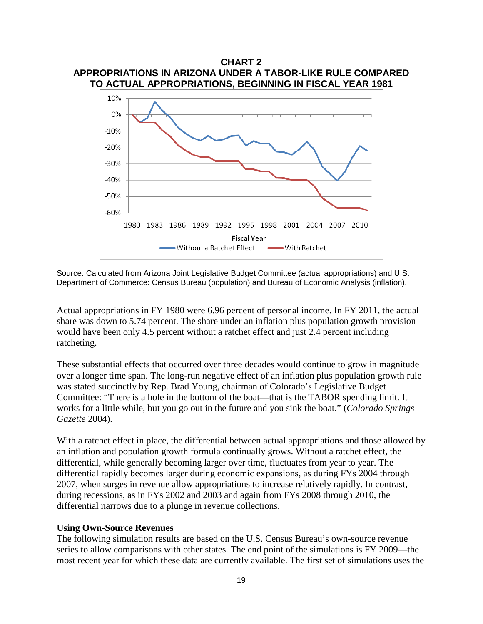

Source: Calculated from Arizona Joint Legislative Budget Committee (actual appropriations) and U.S. Department of Commerce: Census Bureau (population) and Bureau of Economic Analysis (inflation).

Actual appropriations in FY 1980 were 6.96 percent of personal income. In FY 2011, the actual share was down to 5.74 percent. The share under an inflation plus population growth provision would have been only 4.5 percent without a ratchet effect and just 2.4 percent including ratcheting.

These substantial effects that occurred over three decades would continue to grow in magnitude over a longer time span. The long-run negative effect of an inflation plus population growth rule was stated succinctly by Rep. Brad Young, chairman of Colorado's Legislative Budget Committee: "There is a hole in the bottom of the boat—that is the TABOR spending limit. It works for a little while, but you go out in the future and you sink the boat." (*Colorado Springs Gazette* 2004).

With a ratchet effect in place, the differential between actual appropriations and those allowed by an inflation and population growth formula continually grows. Without a ratchet effect, the differential, while generally becoming larger over time, fluctuates from year to year. The differential rapidly becomes larger during economic expansions, as during FYs 2004 through 2007, when surges in revenue allow appropriations to increase relatively rapidly. In contrast, during recessions, as in FYs 2002 and 2003 and again from FYs 2008 through 2010, the differential narrows due to a plunge in revenue collections.

#### **Using Own-Source Revenues**

The following simulation results are based on the U.S. Census Bureau's own-source revenue series to allow comparisons with other states. The end point of the simulations is FY 2009—the most recent year for which these data are currently available. The first set of simulations uses the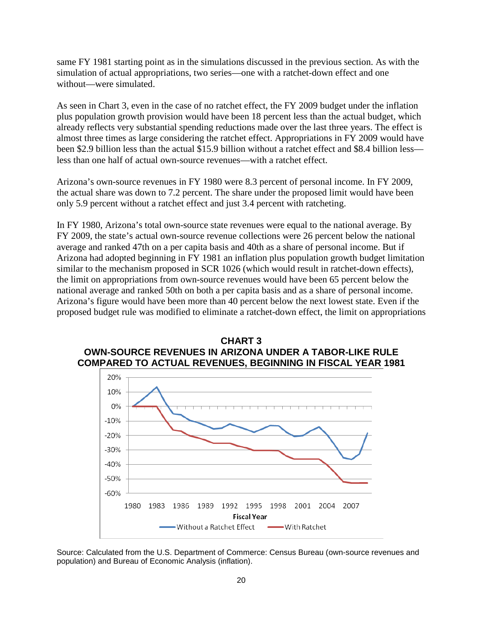same FY 1981 starting point as in the simulations discussed in the previous section. As with the simulation of actual appropriations, two series—one with a ratchet-down effect and one without—were simulated.

As seen in Chart 3, even in the case of no ratchet effect, the FY 2009 budget under the inflation plus population growth provision would have been 18 percent less than the actual budget, which already reflects very substantial spending reductions made over the last three years. The effect is almost three times as large considering the ratchet effect. Appropriations in FY 2009 would have been \$2.9 billion less than the actual \$15.9 billion without a ratchet effect and \$8.4 billion less less than one half of actual own-source revenues—with a ratchet effect.

Arizona's own-source revenues in FY 1980 were 8.3 percent of personal income. In FY 2009, the actual share was down to 7.2 percent. The share under the proposed limit would have been only 5.9 percent without a ratchet effect and just 3.4 percent with ratcheting.

In FY 1980, Arizona's total own-source state revenues were equal to the national average. By FY 2009, the state's actual own-source revenue collections were 26 percent below the national average and ranked 47th on a per capita basis and 40th as a share of personal income. But if Arizona had adopted beginning in FY 1981 an inflation plus population growth budget limitation similar to the mechanism proposed in SCR 1026 (which would result in ratchet-down effects), the limit on appropriations from own-source revenues would have been 65 percent below the national average and ranked 50th on both a per capita basis and as a share of personal income. Arizona's figure would have been more than 40 percent below the next lowest state. Even if the proposed budget rule was modified to eliminate a ratchet-down effect, the limit on appropriations





Source: Calculated from the U.S. Department of Commerce: Census Bureau (own-source revenues and population) and Bureau of Economic Analysis (inflation).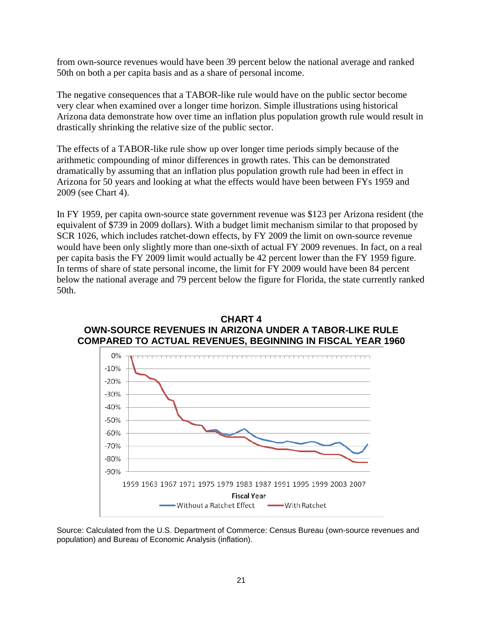from own-source revenues would have been 39 percent below the national average and ranked 50th on both a per capita basis and as a share of personal income.

The negative consequences that a TABOR-like rule would have on the public sector become very clear when examined over a longer time horizon. Simple illustrations using historical Arizona data demonstrate how over time an inflation plus population growth rule would result in drastically shrinking the relative size of the public sector.

The effects of a TABOR-like rule show up over longer time periods simply because of the arithmetic compounding of minor differences in growth rates. This can be demonstrated dramatically by assuming that an inflation plus population growth rule had been in effect in Arizona for 50 years and looking at what the effects would have been between FYs 1959 and 2009 (see Chart 4).

In FY 1959, per capita own-source state government revenue was \$123 per Arizona resident (the equivalent of \$739 in 2009 dollars). With a budget limit mechanism similar to that proposed by SCR 1026, which includes ratchet-down effects, by FY 2009 the limit on own-source revenue would have been only slightly more than one-sixth of actual FY 2009 revenues. In fact, on a real per capita basis the FY 2009 limit would actually be 42 percent lower than the FY 1959 figure. In terms of share of state personal income, the limit for FY 2009 would have been 84 percent below the national average and 79 percent below the figure for Florida, the state currently ranked 50th.





Source: Calculated from the U.S. Department of Commerce: Census Bureau (own-source revenues and population) and Bureau of Economic Analysis (inflation).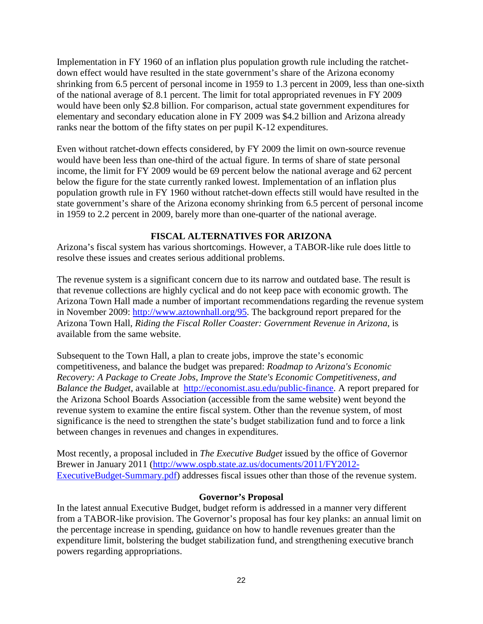Implementation in FY 1960 of an inflation plus population growth rule including the ratchetdown effect would have resulted in the state government's share of the Arizona economy shrinking from 6.5 percent of personal income in 1959 to 1.3 percent in 2009, less than one-sixth of the national average of 8.1 percent. The limit for total appropriated revenues in FY 2009 would have been only \$2.8 billion. For comparison, actual state government expenditures for elementary and secondary education alone in FY 2009 was \$4.2 billion and Arizona already ranks near the bottom of the fifty states on per pupil K-12 expenditures.

Even without ratchet-down effects considered, by FY 2009 the limit on own-source revenue would have been less than one-third of the actual figure. In terms of share of state personal income, the limit for FY 2009 would be 69 percent below the national average and 62 percent below the figure for the state currently ranked lowest. Implementation of an inflation plus population growth rule in FY 1960 without ratchet-down effects still would have resulted in the state government's share of the Arizona economy shrinking from 6.5 percent of personal income in 1959 to 2.2 percent in 2009, barely more than one-quarter of the national average.

## **FISCAL ALTERNATIVES FOR ARIZONA**

Arizona's fiscal system has various shortcomings. However, a TABOR-like rule does little to resolve these issues and creates serious additional problems.

The revenue system is a significant concern due to its narrow and outdated base. The result is that revenue collections are highly cyclical and do not keep pace with economic growth. The Arizona Town Hall made a number of important recommendations regarding the revenue system in November 2009: [http://www.aztownhall.org/95.](http://www.aztownhall.org/95) The background report prepared for the Arizona Town Hall, *Riding the Fiscal Roller Coaster: Government Revenue in Arizona*, is available from the same website.

Subsequent to the Town Hall, a plan to create jobs, improve the state's economic competitiveness, and balance the budget was prepared: *Roadmap to Arizona's Economic Recovery: A Package to Create Jobs, Improve the State's Economic Competitiveness, and Balance the Budget*, available at [http://economist.asu.edu/public-finance.](http://economist.asu.edu/public-finance) A report prepared for the Arizona School Boards Association (accessible from the same website) went beyond the revenue system to examine the entire fiscal system. Other than the revenue system, of most significance is the need to strengthen the state's budget stabilization fund and to force a link between changes in revenues and changes in expenditures.

Most recently, a proposal included in *The Executive Budget* issued by the office of Governor Brewer in January 2011 [\(http://www.ospb.state.az.us/documents/2011/FY2012-](http://www.ospb.state.az.us/documents/2011/FY2012-ExecutiveBudget-Summary.pdf) [ExecutiveBudget-Summary.pdf\)](http://www.ospb.state.az.us/documents/2011/FY2012-ExecutiveBudget-Summary.pdf) addresses fiscal issues other than those of the revenue system.

#### **Governor's Proposal**

In the latest annual Executive Budget, budget reform is addressed in a manner very different from a TABOR-like provision. The Governor's proposal has four key planks: an annual limit on the percentage increase in spending, guidance on how to handle revenues greater than the expenditure limit, bolstering the budget stabilization fund, and strengthening executive branch powers regarding appropriations.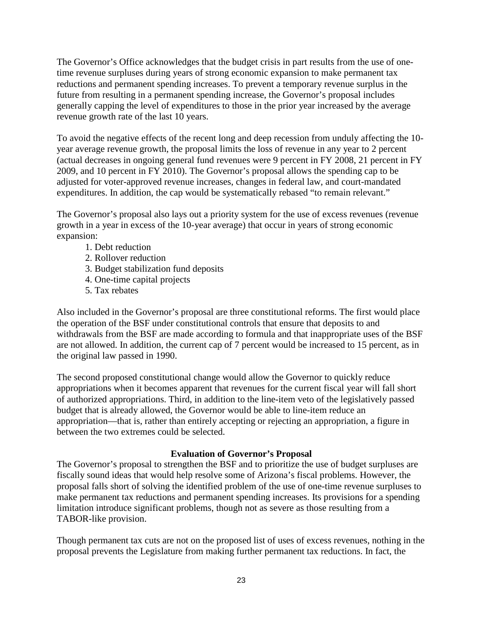The Governor's Office acknowledges that the budget crisis in part results from the use of onetime revenue surpluses during years of strong economic expansion to make permanent tax reductions and permanent spending increases. To prevent a temporary revenue surplus in the future from resulting in a permanent spending increase, the Governor's proposal includes generally capping the level of expenditures to those in the prior year increased by the average revenue growth rate of the last 10 years.

To avoid the negative effects of the recent long and deep recession from unduly affecting the 10 year average revenue growth, the proposal limits the loss of revenue in any year to 2 percent (actual decreases in ongoing general fund revenues were 9 percent in FY 2008, 21 percent in FY 2009, and 10 percent in FY 2010). The Governor's proposal allows the spending cap to be adjusted for voter-approved revenue increases, changes in federal law, and court-mandated expenditures. In addition, the cap would be systematically rebased "to remain relevant."

The Governor's proposal also lays out a priority system for the use of excess revenues (revenue growth in a year in excess of the 10-year average) that occur in years of strong economic expansion:

- 1. Debt reduction
- 2. Rollover reduction
- 3. Budget stabilization fund deposits
- 4. One-time capital projects
- 5. Tax rebates

Also included in the Governor's proposal are three constitutional reforms. The first would place the operation of the BSF under constitutional controls that ensure that deposits to and withdrawals from the BSF are made according to formula and that inappropriate uses of the BSF are not allowed. In addition, the current cap of 7 percent would be increased to 15 percent, as in the original law passed in 1990.

The second proposed constitutional change would allow the Governor to quickly reduce appropriations when it becomes apparent that revenues for the current fiscal year will fall short of authorized appropriations. Third, in addition to the line-item veto of the legislatively passed budget that is already allowed, the Governor would be able to line-item reduce an appropriation—that is, rather than entirely accepting or rejecting an appropriation, a figure in between the two extremes could be selected.

## **Evaluation of Governor's Proposal**

The Governor's proposal to strengthen the BSF and to prioritize the use of budget surpluses are fiscally sound ideas that would help resolve some of Arizona's fiscal problems. However, the proposal falls short of solving the identified problem of the use of one-time revenue surpluses to make permanent tax reductions and permanent spending increases. Its provisions for a spending limitation introduce significant problems, though not as severe as those resulting from a TABOR-like provision.

Though permanent tax cuts are not on the proposed list of uses of excess revenues, nothing in the proposal prevents the Legislature from making further permanent tax reductions. In fact, the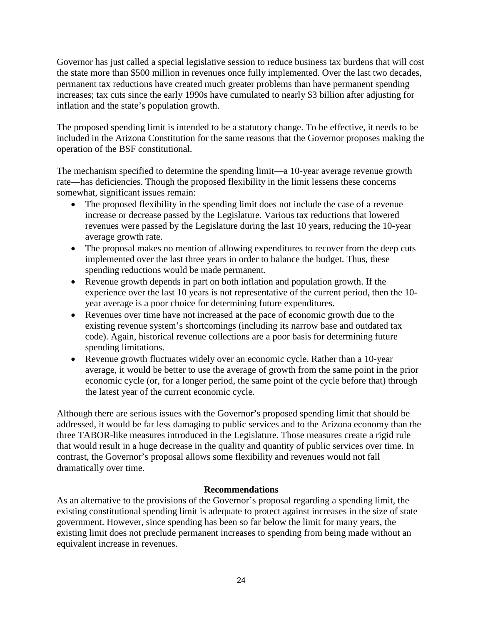Governor has just called a special legislative session to reduce business tax burdens that will cost the state more than \$500 million in revenues once fully implemented. Over the last two decades, permanent tax reductions have created much greater problems than have permanent spending increases; tax cuts since the early 1990s have cumulated to nearly \$3 billion after adjusting for inflation and the state's population growth.

The proposed spending limit is intended to be a statutory change. To be effective, it needs to be included in the Arizona Constitution for the same reasons that the Governor proposes making the operation of the BSF constitutional.

The mechanism specified to determine the spending limit—a 10-year average revenue growth rate—has deficiencies. Though the proposed flexibility in the limit lessens these concerns somewhat, significant issues remain:

- The proposed flexibility in the spending limit does not include the case of a revenue increase or decrease passed by the Legislature. Various tax reductions that lowered revenues were passed by the Legislature during the last 10 years, reducing the 10-year average growth rate.
- The proposal makes no mention of allowing expenditures to recover from the deep cuts implemented over the last three years in order to balance the budget. Thus, these spending reductions would be made permanent.
- Revenue growth depends in part on both inflation and population growth. If the experience over the last 10 years is not representative of the current period, then the 10 year average is a poor choice for determining future expenditures.
- Revenues over time have not increased at the pace of economic growth due to the existing revenue system's shortcomings (including its narrow base and outdated tax code). Again, historical revenue collections are a poor basis for determining future spending limitations.
- Revenue growth fluctuates widely over an economic cycle. Rather than a 10-year average, it would be better to use the average of growth from the same point in the prior economic cycle (or, for a longer period, the same point of the cycle before that) through the latest year of the current economic cycle.

Although there are serious issues with the Governor's proposed spending limit that should be addressed, it would be far less damaging to public services and to the Arizona economy than the three TABOR-like measures introduced in the Legislature. Those measures create a rigid rule that would result in a huge decrease in the quality and quantity of public services over time. In contrast, the Governor's proposal allows some flexibility and revenues would not fall dramatically over time.

## **Recommendations**

As an alternative to the provisions of the Governor's proposal regarding a spending limit, the existing constitutional spending limit is adequate to protect against increases in the size of state government. However, since spending has been so far below the limit for many years, the existing limit does not preclude permanent increases to spending from being made without an equivalent increase in revenues.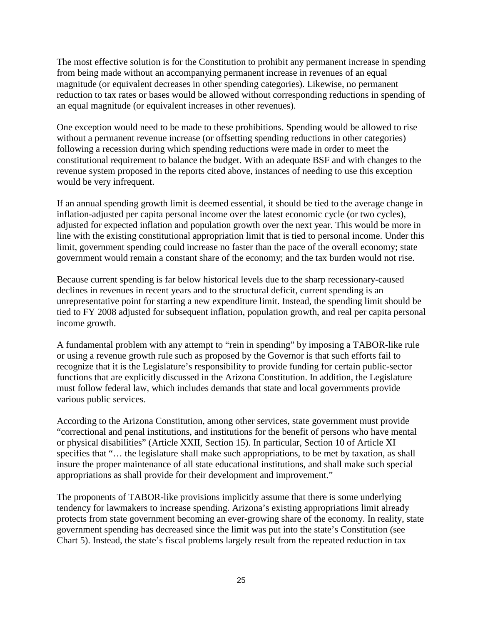The most effective solution is for the Constitution to prohibit any permanent increase in spending from being made without an accompanying permanent increase in revenues of an equal magnitude (or equivalent decreases in other spending categories). Likewise, no permanent reduction to tax rates or bases would be allowed without corresponding reductions in spending of an equal magnitude (or equivalent increases in other revenues).

One exception would need to be made to these prohibitions. Spending would be allowed to rise without a permanent revenue increase (or offsetting spending reductions in other categories) following a recession during which spending reductions were made in order to meet the constitutional requirement to balance the budget. With an adequate BSF and with changes to the revenue system proposed in the reports cited above, instances of needing to use this exception would be very infrequent.

If an annual spending growth limit is deemed essential, it should be tied to the average change in inflation-adjusted per capita personal income over the latest economic cycle (or two cycles), adjusted for expected inflation and population growth over the next year. This would be more in line with the existing constitutional appropriation limit that is tied to personal income. Under this limit, government spending could increase no faster than the pace of the overall economy; state government would remain a constant share of the economy; and the tax burden would not rise.

Because current spending is far below historical levels due to the sharp recessionary-caused declines in revenues in recent years and to the structural deficit, current spending is an unrepresentative point for starting a new expenditure limit. Instead, the spending limit should be tied to FY 2008 adjusted for subsequent inflation, population growth, and real per capita personal income growth.

A fundamental problem with any attempt to "rein in spending" by imposing a TABOR-like rule or using a revenue growth rule such as proposed by the Governor is that such efforts fail to recognize that it is the Legislature's responsibility to provide funding for certain public-sector functions that are explicitly discussed in the Arizona Constitution. In addition, the Legislature must follow federal law, which includes demands that state and local governments provide various public services.

According to the Arizona Constitution, among other services, state government must provide "correctional and penal institutions, and institutions for the benefit of persons who have mental or physical disabilities" (Article XXII, Section 15). In particular, Section 10 of Article XI specifies that "... the legislature shall make such appropriations, to be met by taxation, as shall insure the proper maintenance of all state educational institutions, and shall make such special appropriations as shall provide for their development and improvement."

The proponents of TABOR-like provisions implicitly assume that there is some underlying tendency for lawmakers to increase spending. Arizona's existing appropriations limit already protects from state government becoming an ever-growing share of the economy. In reality, state government spending has decreased since the limit was put into the state's Constitution (see Chart 5). Instead, the state's fiscal problems largely result from the repeated reduction in tax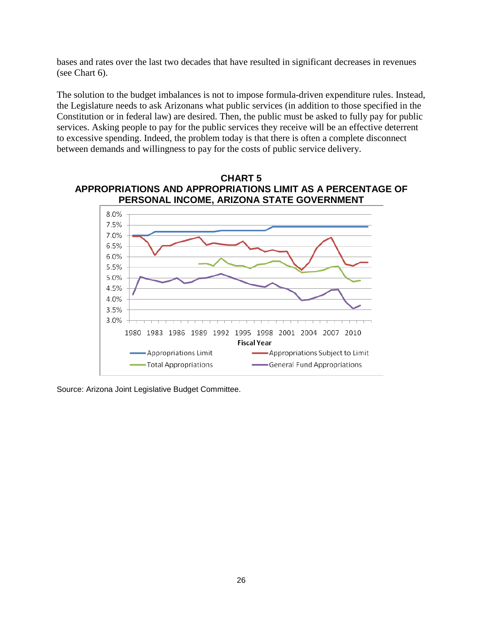bases and rates over the last two decades that have resulted in significant decreases in revenues (see Chart 6).

The solution to the budget imbalances is not to impose formula-driven expenditure rules. Instead, the Legislature needs to ask Arizonans what public services (in addition to those specified in the Constitution or in federal law) are desired. Then, the public must be asked to fully pay for public services. Asking people to pay for the public services they receive will be an effective deterrent to excessive spending. Indeed, the problem today is that there is often a complete disconnect between demands and willingness to pay for the costs of public service delivery.





Source: Arizona Joint Legislative Budget Committee.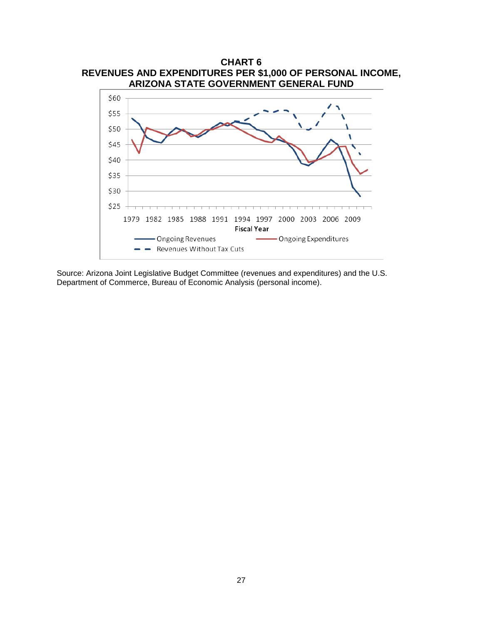

Source: Arizona Joint Legislative Budget Committee (revenues and expenditures) and the U.S. Department of Commerce, Bureau of Economic Analysis (personal income).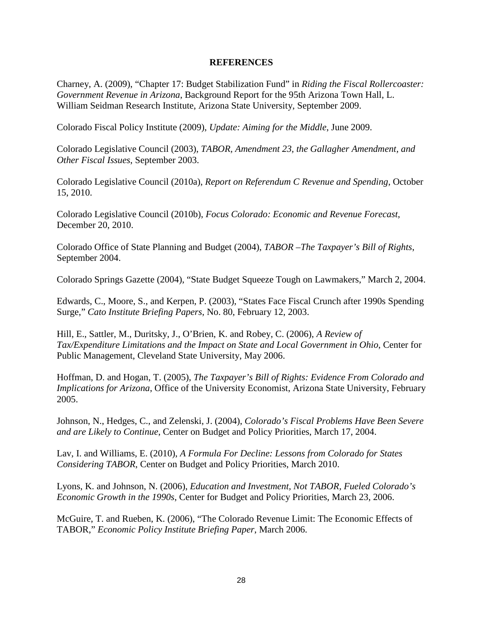#### **REFERENCES**

Charney, A. (2009), "Chapter 17: Budget Stabilization Fund" in *Riding the Fiscal Rollercoaster: Government Revenue in Arizona*, Background Report for the 95th Arizona Town Hall, L. William Seidman Research Institute, Arizona State University, September 2009.

Colorado Fiscal Policy Institute (2009), *Update: Aiming for the Middle*, June 2009.

Colorado Legislative Council (2003), *TABOR, Amendment 23, the Gallagher Amendment, and Other Fiscal Issues*, September 2003.

Colorado Legislative Council (2010a), *Report on Referendum C Revenue and Spending*, October 15, 2010.

Colorado Legislative Council (2010b), *Focus Colorado: Economic and Revenue Forecast*, December 20, 2010.

Colorado Office of State Planning and Budget (2004), *TABOR –The Taxpayer's Bill of Rights*, September 2004.

Colorado Springs Gazette (2004), "State Budget Squeeze Tough on Lawmakers," March 2, 2004.

Edwards, C., Moore, S., and Kerpen, P. (2003), "States Face Fiscal Crunch after 1990s Spending Surge," *Cato Institute Briefing Papers*, No. 80, February 12, 2003.

Hill, E., Sattler, M., Duritsky, J., O'Brien, K. and Robey, C. (2006), *A Review of Tax/Expenditure Limitations and the Impact on State and Local Government in Ohio*, Center for Public Management, Cleveland State University, May 2006.

Hoffman, D. and Hogan, T. (2005), *The Taxpayer's Bill of Rights: Evidence From Colorado and Implications for Arizona*, Office of the University Economist, Arizona State University, February 2005.

Johnson, N., Hedges, C., and Zelenski, J. (2004), *Colorado's Fiscal Problems Have Been Severe and are Likely to Continue*, Center on Budget and Policy Priorities, March 17, 2004.

Lav, I. and Williams, E. (2010), *A Formula For Decline: Lessons from Colorado for States Considering TABOR*, Center on Budget and Policy Priorities, March 2010.

Lyons, K. and Johnson, N. (2006), *Education and Investment, Not TABOR, Fueled Colorado's Economic Growth in the 1990s*, Center for Budget and Policy Priorities, March 23, 2006.

McGuire, T. and Rueben, K. (2006), "The Colorado Revenue Limit: The Economic Effects of TABOR," *Economic Policy Institute Briefing Paper*, March 2006.